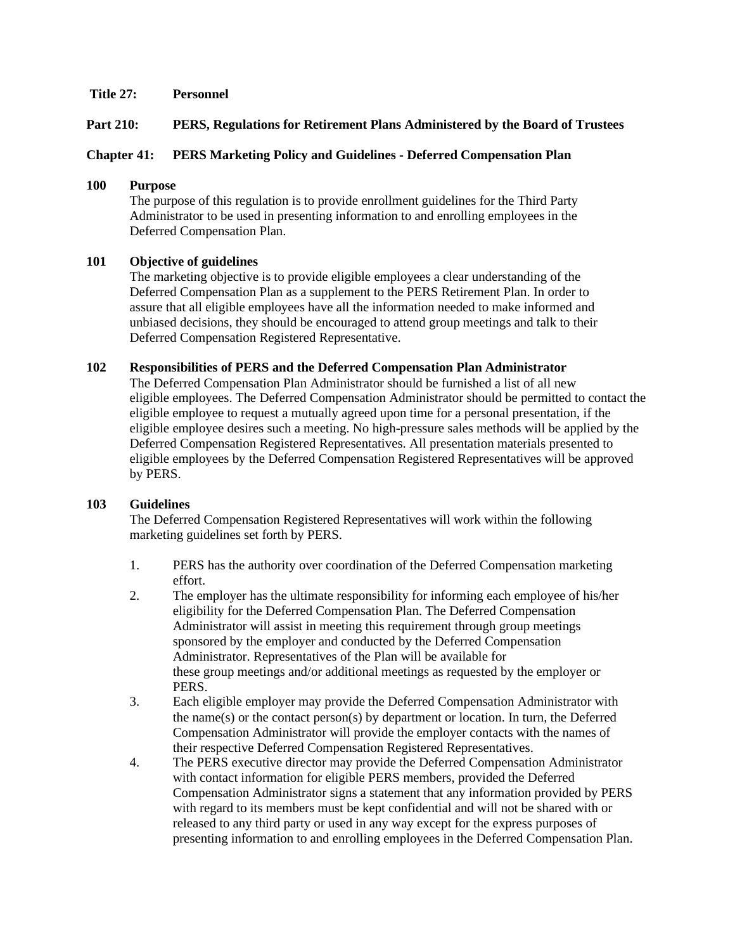### **Title 27: Personnel**

### **Part 210: PERS, Regulations for Retirement Plans Administered by the Board of Trustees**

### **Chapter 41: PERS Marketing Policy and Guidelines - Deferred Compensation Plan**

## **100 Purpose**

The purpose of this regulation is to provide enrollment guidelines for the Third Party Administrator to be used in presenting information to and enrolling employees in the Deferred Compensation Plan.

#### **101 Objective of guidelines**

The marketing objective is to provide eligible employees a clear understanding of the Deferred Compensation Plan as a supplement to the PERS Retirement Plan. In order to assure that all eligible employees have all the information needed to make informed and unbiased decisions, they should be encouraged to attend group meetings and talk to their Deferred Compensation Registered Representative.

#### **102 Responsibilities of PERS and the Deferred Compensation Plan Administrator**

The Deferred Compensation Plan Administrator should be furnished a list of all new eligible employees. The Deferred Compensation Administrator should be permitted to contact the eligible employee to request a mutually agreed upon time for a personal presentation, if the eligible employee desires such a meeting. No high-pressure sales methods will be applied by the Deferred Compensation Registered Representatives. All presentation materials presented to eligible employees by the Deferred Compensation Registered Representatives will be approved by PERS.

#### **103 Guidelines**

The Deferred Compensation Registered Representatives will work within the following marketing guidelines set forth by PERS.

- 1. PERS has the authority over coordination of the Deferred Compensation marketing effort.
- 2. The employer has the ultimate responsibility for informing each employee of his/her eligibility for the Deferred Compensation Plan. The Deferred Compensation Administrator will assist in meeting this requirement through group meetings sponsored by the employer and conducted by the Deferred Compensation Administrator. Representatives of the Plan will be available for these group meetings and/or additional meetings as requested by the employer or PERS.
- 3. Each eligible employer may provide the Deferred Compensation Administrator with the name(s) or the contact person(s) by department or location. In turn, the Deferred Compensation Administrator will provide the employer contacts with the names of their respective Deferred Compensation Registered Representatives.
- 4. The PERS executive director may provide the Deferred Compensation Administrator with contact information for eligible PERS members, provided the Deferred Compensation Administrator signs a statement that any information provided by PERS with regard to its members must be kept confidential and will not be shared with or released to any third party or used in any way except for the express purposes of presenting information to and enrolling employees in the Deferred Compensation Plan.